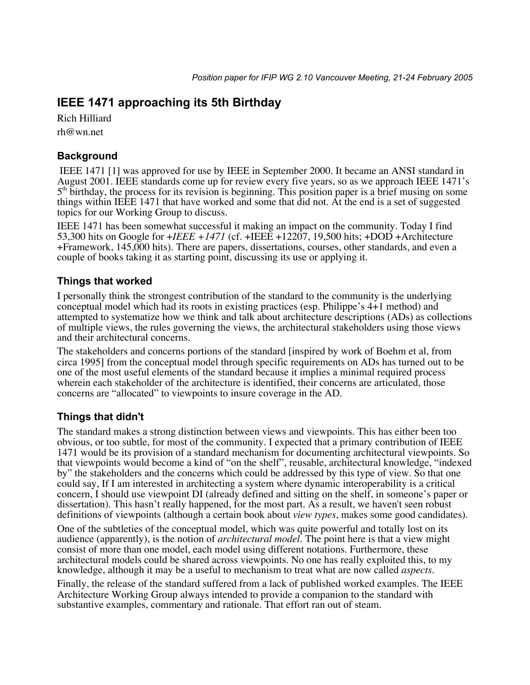# **IEEE 1471 approaching its 5th Birthday**

Rich Hilliard rh@wn.net

## **Background**

 IEEE 1471 [1] was approved for use by IEEE in September 2000. It became an ANSI standard in August 2001. IEEE standards come up for review every five years, so as we approach IEEE 1471's  $5<sup>th</sup>$  birthday, the process for its revision is beginning. This position paper is a brief musing on some things within IEEE 1471 that have worked and some that did not. At the end is a set of suggested topics for our Working Group to discuss.

IEEE 1471 has been somewhat successful it making an impact on the community. Today I find 53,300 hits on Google for +*IEEE +1471* (cf. +IEEE +12207, 19,500 hits; +DOD +Architecture +Framework, 145,000 hits). There are papers, dissertations, courses, other standards, and even a couple of books taking it as starting point, discussing its use or applying it.

### **Things that worked**

I personally think the strongest contribution of the standard to the community is the underlying conceptual model which had its roots in existing practices (esp. Philippe's 4+1 method) and attempted to systematize how we think and talk about architecture descriptions (ADs) as collections of multiple views, the rules governing the views, the architectural stakeholders using those views and their architectural concerns.

The stakeholders and concerns portions of the standard [inspired by work of Boehm et al, from circa 1995] from the conceptual model through specific requirements on ADs has turned out to be one of the most useful elements of the standard because it implies a minimal required process wherein each stakeholder of the architecture is identified, their concerns are articulated, those concerns are "allocated" to viewpoints to insure coverage in the AD.

## **Things that didn't**

The standard makes a strong distinction between views and viewpoints. This has either been too obvious, or too subtle, for most of the community. I expected that a primary contribution of IEEE 1471 would be its provision of a standard mechanism for documenting architectural viewpoints. So that viewpoints would become a kind of "on the shelf", reusable, architectural knowledge, "indexed by" the stakeholders and the concerns which could be addressed by this type of view. So that one could say, If I am interested in architecting a system where dynamic interoperability is a critical concern, I should use viewpoint DI (already defined and sitting on the shelf, in someone's paper or dissertation). This hasn't really happened, for the most part. As a result, we haven't seen robust definitions of viewpoints (although a certain book about *view types*, makes some good candidates).

One of the subtleties of the conceptual model, which was quite powerful and totally lost on its audience (apparently), is the notion of *architectural model*. The point here is that a view might consist of more than one model, each model using different notations. Furthermore, these architectural models could be shared across viewpoints. No one has really exploited this, to my knowledge, although it may be a useful to mechanism to treat what are now called *aspects*.

Finally, the release of the standard suffered from a lack of published worked examples. The IEEE Architecture Working Group always intended to provide a companion to the standard with substantive examples, commentary and rationale. That effort ran out of steam.